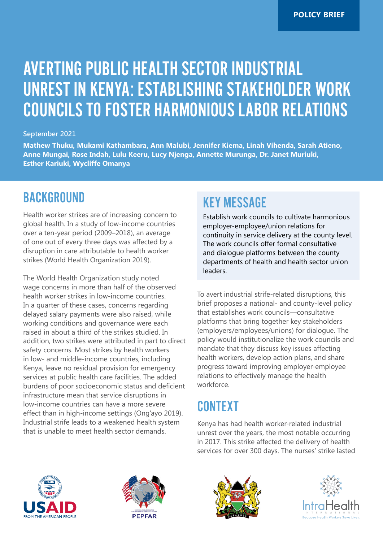# AVERTING PUBLIC HEALTH SECTOR INDUSTRIAL UNREST IN KENYA: ESTABLISHING STAKEHOLDER WORK COUNCILS TO FOSTER HARMONIOUS LABOR RELATIONS

#### **September 2021**

**Mathew Thuku, Mukami Kathambara, Ann Malubi, Jennifer Kiema, Linah Vihenda, Sarah Atieno, Anne Mungai, Rose Indah, Lulu Keeru, Lucy Njenga, Annette Murunga, Dr. Janet Muriuki, Esther Kariuki, Wycliffe Omanya**

### BACKGROUND

Health worker strikes are of increasing concern to global health. In a study of low-income countries over a ten-year period (2009–2018), an average of one out of every three days was affected by a disruption in care attributable to health worker strikes (World Health Organization 2019).

The World Health Organization study noted wage concerns in more than half of the observed health worker strikes in low-income countries. In a quarter of these cases, concerns regarding delayed salary payments were also raised, while working conditions and governance were each raised in about a third of the strikes studied. In addition, two strikes were attributed in part to direct safety concerns. Most strikes by health workers in low- and middle-income countries, including Kenya, leave no residual provision for emergency services at public health care facilities. The added burdens of poor socioeconomic status and deficient infrastructure mean that service disruptions in low-income countries can have a more severe effect than in high-income settings (Ong'ayo 2019). Industrial strife leads to a weakened health system that is unable to meet health sector demands.

### KEY MESSAGE

Establish work councils to cultivate harmonious employer-employee/union relations for continuity in service delivery at the county level. The work councils offer formal consultative and dialogue platforms between the county departments of health and health sector union leaders.

To avert industrial strife-related disruptions, this brief proposes a national- and county-level policy that establishes work councils—consultative platforms that bring together key stakeholders (employers/employees/unions) for dialogue. The policy would institutionalize the work councils and mandate that they discuss key issues affecting health workers, develop action plans, and share progress toward improving employer-employee relations to effectively manage the health workforce.

## CONTEXT

Kenya has had health worker-related industrial unrest over the years, the most notable occurring in 2017. This strike affected the delivery of health services for over 300 days. The nurses' strike lasted







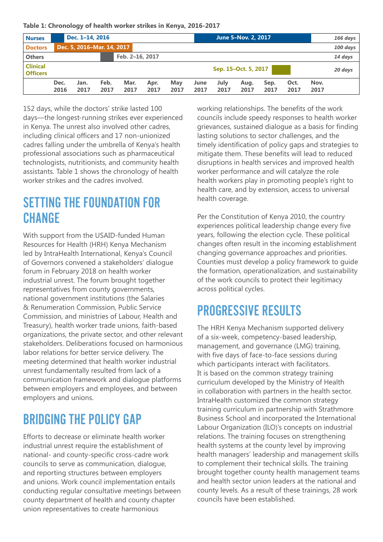**Table 1: Chronology of health worker strikes in Kenya, 2016-2017**

| <b>Nurses</b>                      |                      | Dec. 1-14, 2016            |              |              |                 |             |              |              | June 5-Nov. 2, 2017 |              |              |              | 166 days |
|------------------------------------|----------------------|----------------------------|--------------|--------------|-----------------|-------------|--------------|--------------|---------------------|--------------|--------------|--------------|----------|
| <b>Doctors</b>                     |                      | Dec. 5, 2016-Mar. 14, 2017 |              |              |                 |             |              |              |                     |              |              |              | 100 days |
| <b>Others</b>                      |                      |                            |              |              | Feb. 2-16. 2017 |             |              |              |                     |              |              |              | 14 days  |
| <b>Clinical</b><br><b>Officers</b> | Sep. 15-Oct. 5, 2017 |                            |              |              |                 |             |              |              |                     |              |              |              | 20 days  |
|                                    | Dec.<br>2016         | Jan.<br>2017               | Feb.<br>2017 | Mar.<br>2017 | Apr.<br>2017    | May<br>2017 | June<br>2017 | July<br>2017 | Aug.<br>2017        | Sep.<br>2017 | Oct.<br>2017 | Nov.<br>2017 |          |

152 days, while the doctors' strike lasted 100 days—the longest-running strikes ever experienced in Kenya. The unrest also involved other cadres, including clinical officers and 17 non-unionized cadres falling under the umbrella of Kenya's health professional associations such as pharmaceutical technologists, nutritionists, and community health assistants. Table 1 shows the chronology of health worker strikes and the cadres involved.

### SETTING THE FOUNDATION FOR **CHANGE**

With support from the USAID-funded Human Resources for Health (HRH) Kenya Mechanism led by IntraHealth International, Kenya's Council of Governors convened a stakeholders' dialogue forum in February 2018 on health worker industrial unrest. The forum brought together representatives from county governments, national government institutions (the Salaries & Renumeration Commission, Public Service Commission, and ministries of Labour, Health and Treasury), health worker trade unions, faith-based organizations, the private sector, and other relevant stakeholders. Deliberations focused on harmonious labor relations for better service delivery. The meeting determined that health worker industrial unrest fundamentally resulted from lack of a communication framework and dialogue platforms between employers and employees, and between employers and unions.

# BRIDGING THE POLICY GAP

Efforts to decrease or eliminate health worker industrial unrest require the establishment of national- and county-specific cross-cadre work councils to serve as communication, dialogue, and reporting structures between employers and unions. Work council implementation entails conducting regular consultative meetings between county department of health and county chapter union representatives to create harmonious

working relationships. The benefits of the work councils include speedy responses to health worker grievances, sustained dialogue as a basis for finding lasting solutions to sector challenges, and the timely identification of policy gaps and strategies to mitigate them. These benefits will lead to reduced disruptions in health services and improved health worker performance and will catalyze the role health workers play in promoting people's right to health care, and by extension, access to universal health coverage.

Per the Constitution of Kenya 2010, the country experiences political leadership change every five years, following the election cycle. These political changes often result in the incoming establishment changing governance approaches and priorities. Counties must develop a policy framework to guide the formation, operationalization, and sustainability of the work councils to protect their legitimacy across political cycles.

# PROGRESSIVE RESULTS

The HRH Kenya Mechanism supported delivery of a six-week, competency-based leadership, management, and governance (LMG) training, with five days of face-to-face sessions during which participants interact with facilitators. It is based on the common strategy training curriculum developed by the Ministry of Health in collaboration with partners in the health sector. IntraHealth customized the common strategy training curriculum in partnership with Strathmore Business School and incorporated the International Labour Organization (ILO)'s concepts on industrial relations. The training focuses on strengthening health systems at the county level by improving health managers' leadership and management skills to complement their technical skills. The training brought together county health management teams and health sector union leaders at the national and county levels. As a result of these trainings, 28 work councils have been established.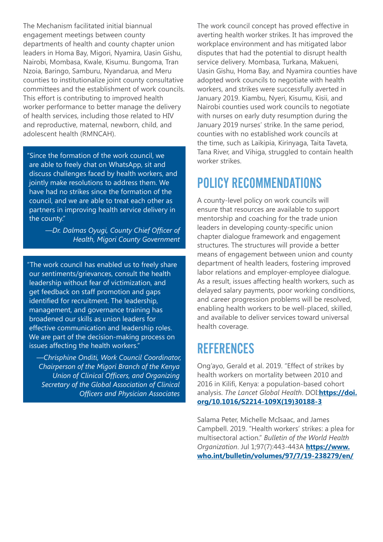The Mechanism facilitated initial biannual engagement meetings between county departments of health and county chapter union leaders in Homa Bay, Migori, Nyamira, Uasin Gishu, Nairobi, Mombasa, Kwale, Kisumu. Bungoma, Tran Nzoia, Baringo, Samburu, Nyandarua, and Meru counties to institutionalize joint county consultative committees and the establishment of work councils. This effort is contributing to improved health worker performance to better manage the delivery of health services, including those related to HIV and reproductive, maternal, newborn, child, and adolescent health (RMNCAH).

"Since the formation of the work council, we are able to freely chat on WhatsApp, sit and discuss challenges faced by health workers, and jointly make resolutions to address them. We have had no strikes since the formation of the council, and we are able to treat each other as partners in improving health service delivery in the county."

> *—Dr. Dalmas Oyugi, County Chief Officer of Health, Migori County Government*

"The work council has enabled us to freely share our sentiments/grievances, consult the health leadership without fear of victimization, and get feedback on staff promotion and gaps identified for recruitment. The leadership, management, and governance training has broadened our skills as union leaders for effective communication and leadership roles. We are part of the decision-making process on issues affecting the health workers."

*—Chrisphine Onditi, Work Council Coordinator, Chairperson of the Migori Branch of the Kenya Union of Clinical Officers, and Organizing Secretary of the Global Association of Clinical Officers and Physician Associates*

The work council concept has proved effective in averting health worker strikes. It has improved the workplace environment and has mitigated labor disputes that had the potential to disrupt health service delivery. Mombasa, Turkana, Makueni, Uasin Gishu, Homa Bay, and Nyamira counties have adopted work councils to negotiate with health workers, and strikes were successfully averted in January 2019. Kiambu, Nyeri, Kisumu, Kisii, and Nairobi counties used work councils to negotiate with nurses on early duty resumption during the January 2019 nurses' strike. In the same period, counties with no established work councils at the time, such as Laikipia, Kirinyaga, Taita Taveta, Tana River, and Vihiga, struggled to contain health worker strikes.

# POLICY RECOMMENDATIONS

A county-level policy on work councils will ensure that resources are available to support mentorship and coaching for the trade union leaders in developing county-specific union chapter dialogue framework and engagement structures. The structures will provide a better means of engagement between union and county department of health leaders, fostering improved labor relations and employer-employee dialogue. As a result, issues affecting health workers, such as delayed salary payments, poor working conditions, and career progression problems will be resolved, enabling health workers to be well-placed, skilled, and available to deliver services toward universal health coverage.

## **REFERENCES**

Ong'ayo, Gerald et al. 2019. "Effect of strikes by health workers on mortality between 2010 and 2016 in Kilifi, Kenya: a population-based cohort analysis. *The Lancet Global Health*. DOI:**[https://doi.](https://doi.org/10.1016/S2214-109X(19)30188-3) [org/10.1016/S2214-109X\(19\)30188-3](https://doi.org/10.1016/S2214-109X(19)30188-3)**

Salama Peter, Michelle McIsaac, and James Campbell. 2019. "Health workers' strikes: a plea for multisectoral action." *Bulletin of the World Health Organization*. Jul 1;97(7):443-443A **[https://www.](https://www.who.int/bulletin/volumes/97/7/19-238279/en/) [who.int/bulletin/volumes/97/7/19-238279/en/](https://www.who.int/bulletin/volumes/97/7/19-238279/en/)**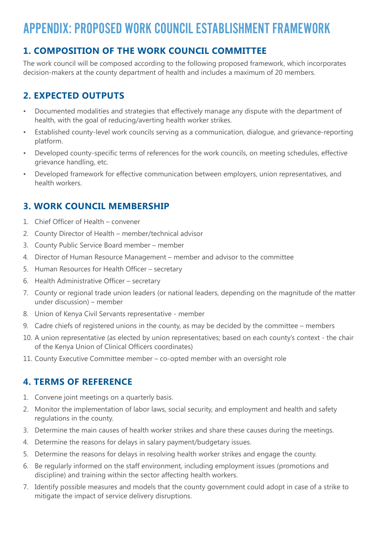# APPENDIX: PROPOSED WORK COUNCIL ESTABLISHMENT FRAMEWORK

### **1. COMPOSITION OF THE WORK COUNCIL COMMITTEE**

The work council will be composed according to the following proposed framework, which incorporates decision-makers at the county department of health and includes a maximum of 20 members.

#### **2. EXPECTED OUTPUTS**

- Documented modalities and strategies that effectively manage any dispute with the department of health, with the goal of reducing/averting health worker strikes.
- Established county-level work councils serving as a communication, dialogue, and grievance-reporting platform.
- Developed county-specific terms of references for the work councils, on meeting schedules, effective grievance handling, etc.
- Developed framework for effective communication between employers, union representatives, and health workers.

#### **3. WORK COUNCIL MEMBERSHIP**

- 1. Chief Officer of Health convener
- 2. County Director of Health member/technical advisor
- 3. County Public Service Board member member
- 4. Director of Human Resource Management member and advisor to the committee
- 5. Human Resources for Health Officer secretary
- 6. Health Administrative Officer secretary
- 7. County or regional trade union leaders (or national leaders, depending on the magnitude of the matter under discussion) – member
- 8. Union of Kenya Civil Servants representative member
- 9. Cadre chiefs of registered unions in the county, as may be decided by the committee members
- 10. A union representative (as elected by union representatives; based on each county's context the chair of the Kenya Union of Clinical Officers coordinates)
- 11. County Executive Committee member co-opted member with an oversight role

#### **4. TERMS OF REFERENCE**

- 1. Convene joint meetings on a quarterly basis.
- 2. Monitor the implementation of labor laws, social security, and employment and health and safety regulations in the county.
- 3. Determine the main causes of health worker strikes and share these causes during the meetings.
- 4. Determine the reasons for delays in salary payment/budgetary issues.
- 5. Determine the reasons for delays in resolving health worker strikes and engage the county.
- 6. Be regularly informed on the staff environment, including employment issues (promotions and discipline) and training within the sector affecting health workers.
- 7. Identify possible measures and models that the county government could adopt in case of a strike to mitigate the impact of service delivery disruptions.